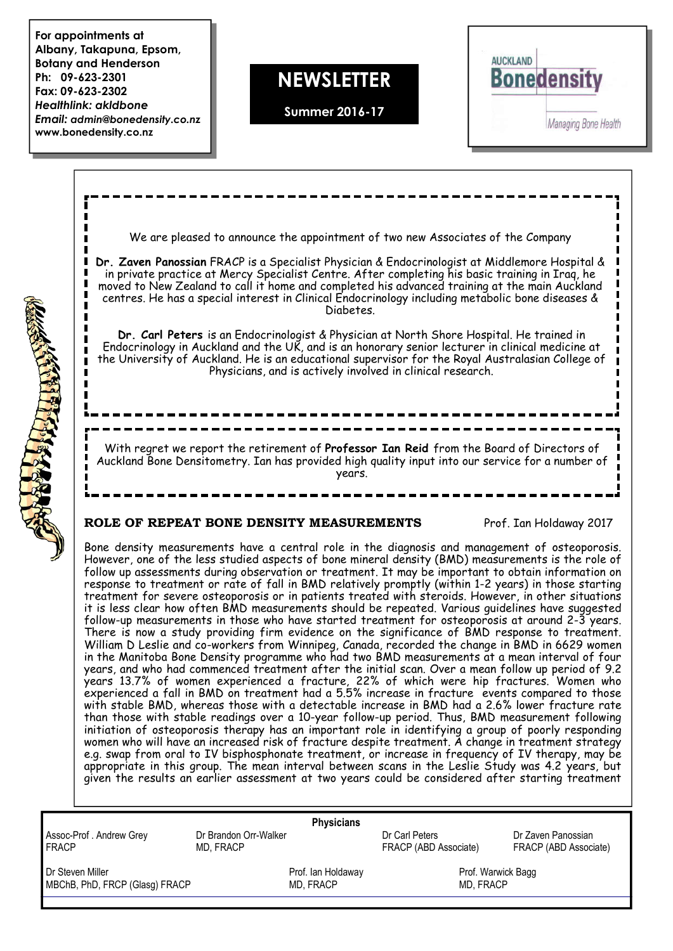**For appointments at Albany, Takapuna, Epsom, Botany and Henderson Ph: 09-623-2301 Fax: 09-623-2302** *Healthlink: akldbone Email: admin@bonedensity.co.nz* **www.bonedensity.co.nz**

CALGARY RELEASE

## **NEWSLETTER**

**Summer 2016-17**



| We are pleased to announce the appointment of two new Associates of the Company                                                                                                                                                                                                                                                                                                                                                                                                                                                                                                                                                                                                                                                                                                                                                                                                                                                                                                                                                                                                                                                                                                                                                                                                                                                                                                                                                                                                                                                                                                                                                                                                                                                                                                                                                                                                                                                                                                                                                                                                        |  |
|----------------------------------------------------------------------------------------------------------------------------------------------------------------------------------------------------------------------------------------------------------------------------------------------------------------------------------------------------------------------------------------------------------------------------------------------------------------------------------------------------------------------------------------------------------------------------------------------------------------------------------------------------------------------------------------------------------------------------------------------------------------------------------------------------------------------------------------------------------------------------------------------------------------------------------------------------------------------------------------------------------------------------------------------------------------------------------------------------------------------------------------------------------------------------------------------------------------------------------------------------------------------------------------------------------------------------------------------------------------------------------------------------------------------------------------------------------------------------------------------------------------------------------------------------------------------------------------------------------------------------------------------------------------------------------------------------------------------------------------------------------------------------------------------------------------------------------------------------------------------------------------------------------------------------------------------------------------------------------------------------------------------------------------------------------------------------------------|--|
| Dr. Zaven Panossian FRACP is a Specialist Physician & Endocrinologist at Middlemore Hospital &<br>in private practice at Mercy Specialist Centre. After completing his basic training in Iraq, he<br>moved to New Zealand to call it home and completed his advanced training at the main Auckland<br>centres. He has a special interest in Clinical Endocrinology including metabolic bone diseases &<br>Diabetes.                                                                                                                                                                                                                                                                                                                                                                                                                                                                                                                                                                                                                                                                                                                                                                                                                                                                                                                                                                                                                                                                                                                                                                                                                                                                                                                                                                                                                                                                                                                                                                                                                                                                    |  |
| Dr. Carl Peters is an Endocrinologist & Physician at North Shore Hospital. He trained in<br>Endocrinology in Auckland and the UK, and is an honorary senior lecturer in clinical medicine at<br>the University of Auckland. He is an educational supervisor for the Royal Australasian College of<br>Physicians, and is actively involved in clinical research.                                                                                                                                                                                                                                                                                                                                                                                                                                                                                                                                                                                                                                                                                                                                                                                                                                                                                                                                                                                                                                                                                                                                                                                                                                                                                                                                                                                                                                                                                                                                                                                                                                                                                                                        |  |
| With regret we report the retirement of Professor Ian Reid from the Board of Directors of                                                                                                                                                                                                                                                                                                                                                                                                                                                                                                                                                                                                                                                                                                                                                                                                                                                                                                                                                                                                                                                                                                                                                                                                                                                                                                                                                                                                                                                                                                                                                                                                                                                                                                                                                                                                                                                                                                                                                                                              |  |
| Auckland Bone Densitometry. Ian has provided high quality input into our service for a number of<br>years.                                                                                                                                                                                                                                                                                                                                                                                                                                                                                                                                                                                                                                                                                                                                                                                                                                                                                                                                                                                                                                                                                                                                                                                                                                                                                                                                                                                                                                                                                                                                                                                                                                                                                                                                                                                                                                                                                                                                                                             |  |
| ROLE OF REPEAT BONE DENSITY MEASUREMENTS<br>Prof. Ian Holdaway 2017                                                                                                                                                                                                                                                                                                                                                                                                                                                                                                                                                                                                                                                                                                                                                                                                                                                                                                                                                                                                                                                                                                                                                                                                                                                                                                                                                                                                                                                                                                                                                                                                                                                                                                                                                                                                                                                                                                                                                                                                                    |  |
| Bone density measurements have a central role in the diagnosis and management of osteoporosis.<br>However, one of the less studied aspects of bone mineral density (BMD) measurements is the role of<br>follow up assessments during observation or treatment. It may be important to obtain information on<br>response to treatment or rate of fall in BMD relatively promptly (within 1-2 years) in those starting<br>treatment for severe osteoporosis or in patients treated with steroids. However, in other situations<br>it is less clear how often BMD measurements should be repeated. Various guidelines have suggested<br>follow-up measurements in those who have started treatment for osteoporosis at around 2-3 years.<br>There is now a study providing firm evidence on the significance of BMD response to treatment.<br>William D Leslie and co-workers from Winnipeg, Canada, recorded the change in BMD in 6629 women<br>in the Manitoba Bone Density programme who had two BMD measurements at a mean interval of four<br>years, and who had commenced treatment after the initial scan. Over a mean follow up period of 9.2<br>years 13.7% of women experienced a fracture, 22% of which were hip fractures. Women who<br>experienced a fall in BMD on treatment had a 5.5% increase in fracture events compared to those<br>with stable BMD, whereas those with a detectable increase in BMD had a 2.6% lower fracture rate<br>than those with stable readings over a 10-year follow-up period. Thus, BMD measurement following<br>initiation of osteoporosis therapy has an important role in identifying a group of poorly responding<br>women who will have an increased risk of fracture despite treatment. A change in treatment strategy<br>e.g. swap from oral to IV bisphosphonate treatment, or increase in frequency of IV therapy, may be<br>appropriate in this group. The mean interval between scans in the Leslie Study was 4.2 years, but<br>given the results an earlier assessment at two years could be considered after starting treatment |  |

| <b>Physicians</b>              |                       |                       |                       |  |
|--------------------------------|-----------------------|-----------------------|-----------------------|--|
| Assoc-Prof. Andrew Grey        | Dr Brandon Orr-Walker | Dr Carl Peters        | Dr Zaven Panossian    |  |
| <b>FRACP</b>                   | MD. FRACP             | FRACP (ABD Associate) | FRACP (ABD Associate) |  |
| Dr Steven Miller               | Prof. Ian Holdaway    |                       | Prof. Warwick Bagg    |  |
| MBChB, PhD, FRCP (Glasg) FRACP | MD. FRACP             |                       | MD. FRACP             |  |